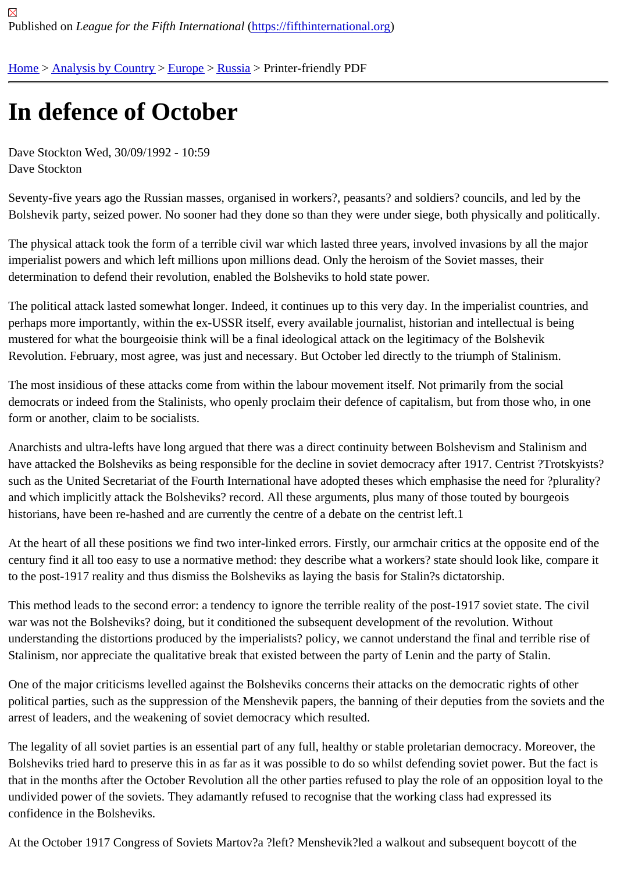## [In d](https://fifthinternational.org/)[efence of](https://fifthinternational.org/category/1) [Octo](https://fifthinternational.org/category/1/128)[ber](https://fifthinternational.org/category/1/128/166)

Dave Stockton Wed, 30/09/1992 - 10:59 Dave Stockton

Seventy-five years ago the Russian masses, organised in workers?, peasants? and soldiers? councils, and led by the Bolshevik party, seized power. No sooner had they done so than they were under siege, both physically and politic

The physical attack took the form of a terrible civil war which lasted three years, involved invasions by all the majo imperialist powers and which left millions upon millions dead. Only the heroism of the Soviet masses, their determination to defend their revolution, enabled the Bolsheviks to hold state power.

The political attack lasted somewhat longer. Indeed, it continues up to this very day. In the imperialist countries, ar perhaps more importantly, within the ex-USSR itself, every available journalist, historian and intellectual is being mustered for what the bourgeoisie think will be a final ideological attack on the legitimacy of the Bolshevik Revolution. February, most agree, was just and necessary. But October led directly to the triumph of Stalinism.

The most insidious of these attacks come from within the labour movement itself. Not primarily from the social democrats or indeed from the Stalinists, who openly proclaim their defence of capitalism, but from those who, in or form or another, claim to be socialists.

Anarchists and ultra-lefts have long argued that there was a direct continuity between Bolshevism and Stalinism and have attacked the Bolsheviks as being responsible for the decline in soviet democracy after 1917. Centrist ?Trotsk such as the United Secretariat of the Fourth International have adopted theses which emphasise the need for ?plu and which implicitly attack the Bolsheviks? record. All these arguments, plus many of those touted by bourgeois historians, have been re-hashed and are currently the centre of a debate on the centrist left.1

At the heart of all these positions we find two inter-linked errors. Firstly, our armchair critics at the opposite end of century find it all too easy to use a normative method: they describe what a workers? state should look like, compa to the post-1917 reality and thus dismiss the Bolsheviks as laying the basis for Stalin?s dictatorship.

This method leads to the second error: a tendency to ignore the terrible reality of the post-1917 soviet state. The c war was not the Bolsheviks? doing, but it conditioned the subsequent development of the revolution. Without understanding the distortions produced by the imperialists? policy, we cannot understand the final and terrible rise Stalinism, nor appreciate the qualitative break that existed between the party of Lenin and the party of Stalin.

One of the major criticisms levelled against the Bolsheviks concerns their attacks on the democratic rights of other political parties, such as the suppression of the Menshevik papers, the banning of their deputies from the soviets a arrest of leaders, and the weakening of soviet democracy which resulted.

The legality of all soviet parties is an essential part of any full, healthy or stable proletarian democracy. Moreover, Bolsheviks tried hard to preserve this in as far as it was possible to do so whilst defending soviet power. But the fa that in the months after the October Revolution all the other parties refused to play the role of an opposition loyal to undivided power of the soviets. They adamantly refused to recognise that the working class had expressed its confidence in the Bolsheviks.

At the October 1917 Congress of Soviets Martov?a ?left? Menshevik?led a walkout and subsequent boycott of the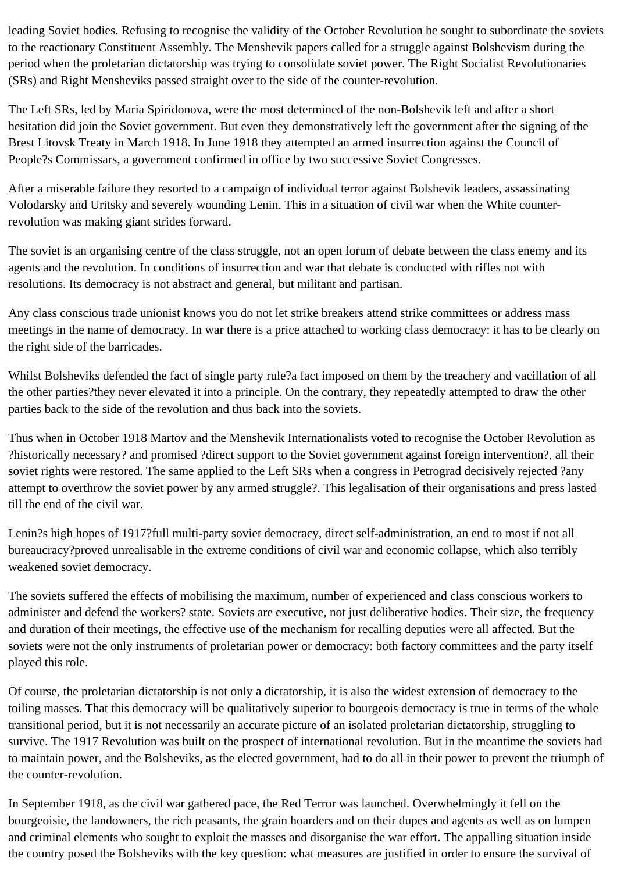leading Soviet bodies. Refusing to recognise the validity of the October Revolution he sought to subordinate the soviets to the reactionary Constituent Assembly. The Menshevik papers called for a struggle against Bolshevism during the period when the proletarian dictatorship was trying to consolidate soviet power. The Right Socialist Revolutionaries (SRs) and Right Mensheviks passed straight over to the side of the counter-revolution.

The Left SRs, led by Maria Spiridonova, were the most determined of the non-Bolshevik left and after a short hesitation did join the Soviet government. But even they demonstratively left the government after the signing of the Brest Litovsk Treaty in March 1918. In June 1918 they attempted an armed insurrection against the Council of People?s Commissars, a government confirmed in office by two successive Soviet Congresses.

After a miserable failure they resorted to a campaign of individual terror against Bolshevik leaders, assassinating Volodarsky and Uritsky and severely wounding Lenin. This in a situation of civil war when the White counterrevolution was making giant strides forward.

The soviet is an organising centre of the class struggle, not an open forum of debate between the class enemy and its agents and the revolution. In conditions of insurrection and war that debate is conducted with rifles not with resolutions. Its democracy is not abstract and general, but militant and partisan.

Any class conscious trade unionist knows you do not let strike breakers attend strike committees or address mass meetings in the name of democracy. In war there is a price attached to working class democracy: it has to be clearly on the right side of the barricades.

Whilst Bolsheviks defended the fact of single party rule?a fact imposed on them by the treachery and vacillation of all the other parties?they never elevated it into a principle. On the contrary, they repeatedly attempted to draw the other parties back to the side of the revolution and thus back into the soviets.

Thus when in October 1918 Martov and the Menshevik Internationalists voted to recognise the October Revolution as ?historically necessary? and promised ?direct support to the Soviet government against foreign intervention?, all their soviet rights were restored. The same applied to the Left SRs when a congress in Petrograd decisively rejected ?any attempt to overthrow the soviet power by any armed struggle?. This legalisation of their organisations and press lasted till the end of the civil war.

Lenin?s high hopes of 1917?full multi-party soviet democracy, direct self-administration, an end to most if not all bureaucracy?proved unrealisable in the extreme conditions of civil war and economic collapse, which also terribly weakened soviet democracy.

The soviets suffered the effects of mobilising the maximum, number of experienced and class conscious workers to administer and defend the workers? state. Soviets are executive, not just deliberative bodies. Their size, the frequency and duration of their meetings, the effective use of the mechanism for recalling deputies were all affected. But the soviets were not the only instruments of proletarian power or democracy: both factory committees and the party itself played this role.

Of course, the proletarian dictatorship is not only a dictatorship, it is also the widest extension of democracy to the toiling masses. That this democracy will be qualitatively superior to bourgeois democracy is true in terms of the whole transitional period, but it is not necessarily an accurate picture of an isolated proletarian dictatorship, struggling to survive. The 1917 Revolution was built on the prospect of international revolution. But in the meantime the soviets had to maintain power, and the Bolsheviks, as the elected government, had to do all in their power to prevent the triumph of the counter-revolution.

In September 1918, as the civil war gathered pace, the Red Terror was launched. Overwhelmingly it fell on the bourgeoisie, the landowners, the rich peasants, the grain hoarders and on their dupes and agents as well as on lumpen and criminal elements who sought to exploit the masses and disorganise the war effort. The appalling situation inside the country posed the Bolsheviks with the key question: what measures are justified in order to ensure the survival of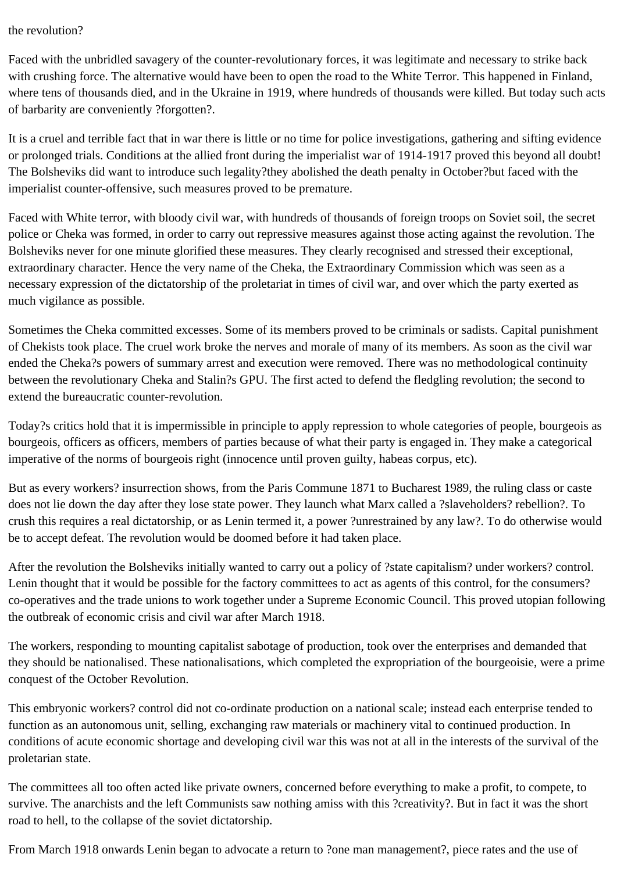## the revolution?

Faced with the unbridled savagery of the counter-revolutionary forces, it was legitimate and necessary to strike back with crushing force. The alternative would have been to open the road to the White Terror. This happened in Finland, where tens of thousands died, and in the Ukraine in 1919, where hundreds of thousands were killed. But today such acts of barbarity are conveniently ?forgotten?.

It is a cruel and terrible fact that in war there is little or no time for police investigations, gathering and sifting evidence or prolonged trials. Conditions at the allied front during the imperialist war of 1914-1917 proved this beyond all doubt! The Bolsheviks did want to introduce such legality?they abolished the death penalty in October?but faced with the imperialist counter-offensive, such measures proved to be premature.

Faced with White terror, with bloody civil war, with hundreds of thousands of foreign troops on Soviet soil, the secret police or Cheka was formed, in order to carry out repressive measures against those acting against the revolution. The Bolsheviks never for one minute glorified these measures. They clearly recognised and stressed their exceptional, extraordinary character. Hence the very name of the Cheka, the Extraordinary Commission which was seen as a necessary expression of the dictatorship of the proletariat in times of civil war, and over which the party exerted as much vigilance as possible.

Sometimes the Cheka committed excesses. Some of its members proved to be criminals or sadists. Capital punishment of Chekists took place. The cruel work broke the nerves and morale of many of its members. As soon as the civil war ended the Cheka?s powers of summary arrest and execution were removed. There was no methodological continuity between the revolutionary Cheka and Stalin?s GPU. The first acted to defend the fledgling revolution; the second to extend the bureaucratic counter-revolution.

Today?s critics hold that it is impermissible in principle to apply repression to whole categories of people, bourgeois as bourgeois, officers as officers, members of parties because of what their party is engaged in. They make a categorical imperative of the norms of bourgeois right (innocence until proven guilty, habeas corpus, etc).

But as every workers? insurrection shows, from the Paris Commune 1871 to Bucharest 1989, the ruling class or caste does not lie down the day after they lose state power. They launch what Marx called a ?slaveholders? rebellion?. To crush this requires a real dictatorship, or as Lenin termed it, a power ?unrestrained by any law?. To do otherwise would be to accept defeat. The revolution would be doomed before it had taken place.

After the revolution the Bolsheviks initially wanted to carry out a policy of ?state capitalism? under workers? control. Lenin thought that it would be possible for the factory committees to act as agents of this control, for the consumers? co-operatives and the trade unions to work together under a Supreme Economic Council. This proved utopian following the outbreak of economic crisis and civil war after March 1918.

The workers, responding to mounting capitalist sabotage of production, took over the enterprises and demanded that they should be nationalised. These nationalisations, which completed the expropriation of the bourgeoisie, were a prime conquest of the October Revolution.

This embryonic workers? control did not co-ordinate production on a national scale; instead each enterprise tended to function as an autonomous unit, selling, exchanging raw materials or machinery vital to continued production. In conditions of acute economic shortage and developing civil war this was not at all in the interests of the survival of the proletarian state.

The committees all too often acted like private owners, concerned before everything to make a profit, to compete, to survive. The anarchists and the left Communists saw nothing amiss with this ?creativity?. But in fact it was the short road to hell, to the collapse of the soviet dictatorship.

From March 1918 onwards Lenin began to advocate a return to ?one man management?, piece rates and the use of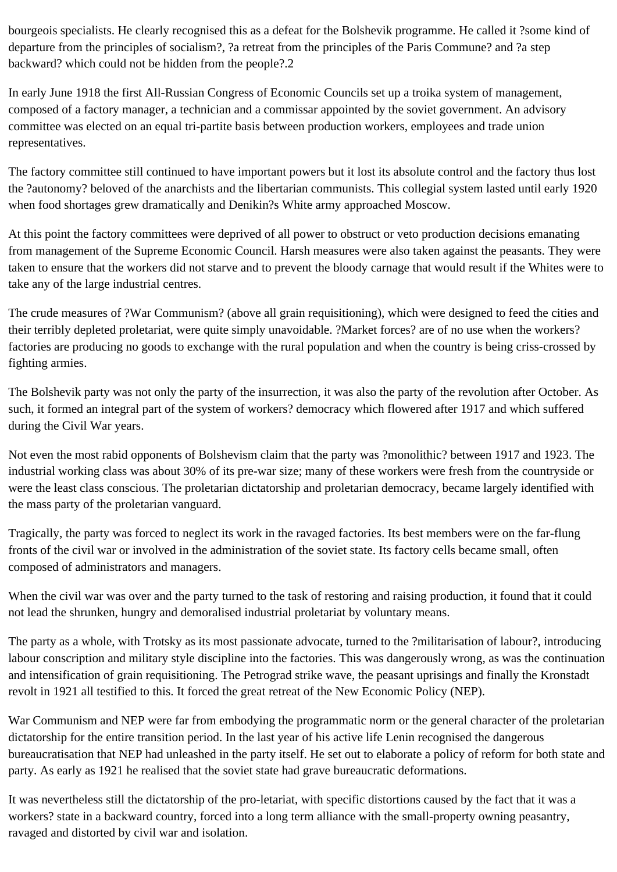bourgeois specialists. He clearly recognised this as a defeat for the Bolshevik programme. He called it ?some kind of departure from the principles of socialism?, ?a retreat from the principles of the Paris Commune? and ?a step backward? which could not be hidden from the people?.2

In early June 1918 the first All-Russian Congress of Economic Councils set up a troika system of management, composed of a factory manager, a technician and a commissar appointed by the soviet government. An advisory committee was elected on an equal tri-partite basis between production workers, employees and trade union representatives.

The factory committee still continued to have important powers but it lost its absolute control and the factory thus lost the ?autonomy? beloved of the anarchists and the libertarian communists. This collegial system lasted until early 1920 when food shortages grew dramatically and Denikin?s White army approached Moscow.

At this point the factory committees were deprived of all power to obstruct or veto production decisions emanating from management of the Supreme Economic Council. Harsh measures were also taken against the peasants. They were taken to ensure that the workers did not starve and to prevent the bloody carnage that would result if the Whites were to take any of the large industrial centres.

The crude measures of ?War Communism? (above all grain requisitioning), which were designed to feed the cities and their terribly depleted proletariat, were quite simply unavoidable. ?Market forces? are of no use when the workers? factories are producing no goods to exchange with the rural population and when the country is being criss-crossed by fighting armies.

The Bolshevik party was not only the party of the insurrection, it was also the party of the revolution after October. As such, it formed an integral part of the system of workers? democracy which flowered after 1917 and which suffered during the Civil War years.

Not even the most rabid opponents of Bolshevism claim that the party was ?monolithic? between 1917 and 1923. The industrial working class was about 30% of its pre-war size; many of these workers were fresh from the countryside or were the least class conscious. The proletarian dictatorship and proletarian democracy, became largely identified with the mass party of the proletarian vanguard.

Tragically, the party was forced to neglect its work in the ravaged factories. Its best members were on the far-flung fronts of the civil war or involved in the administration of the soviet state. Its factory cells became small, often composed of administrators and managers.

When the civil war was over and the party turned to the task of restoring and raising production, it found that it could not lead the shrunken, hungry and demoralised industrial proletariat by voluntary means.

The party as a whole, with Trotsky as its most passionate advocate, turned to the ?militarisation of labour?, introducing labour conscription and military style discipline into the factories. This was dangerously wrong, as was the continuation and intensification of grain requisitioning. The Petrograd strike wave, the peasant uprisings and finally the Kronstadt revolt in 1921 all testified to this. It forced the great retreat of the New Economic Policy (NEP).

War Communism and NEP were far from embodying the programmatic norm or the general character of the proletarian dictatorship for the entire transition period. In the last year of his active life Lenin recognised the dangerous bureaucratisation that NEP had unleashed in the party itself. He set out to elaborate a policy of reform for both state and party. As early as 1921 he realised that the soviet state had grave bureaucratic deformations.

It was nevertheless still the dictatorship of the pro-letariat, with specific distortions caused by the fact that it was a workers? state in a backward country, forced into a long term alliance with the small-property owning peasantry, ravaged and distorted by civil war and isolation.